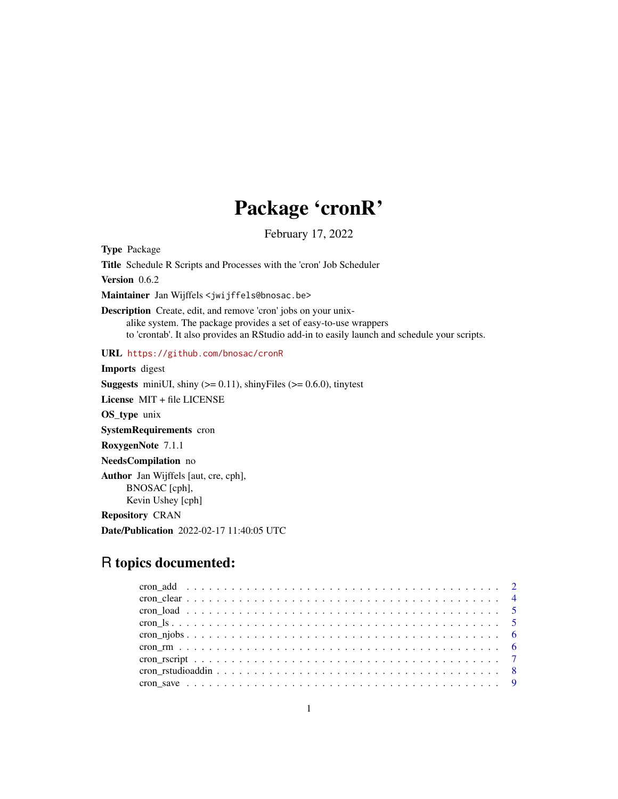## Package 'cronR'

February 17, 2022

<span id="page-0-0"></span>Type Package

Title Schedule R Scripts and Processes with the 'cron' Job Scheduler

Version 0.6.2

Maintainer Jan Wijffels <jwijffels@bnosac.be>

Description Create, edit, and remove 'cron' jobs on your unixalike system. The package provides a set of easy-to-use wrappers to 'crontab'. It also provides an RStudio add-in to easily launch and schedule your scripts.

URL <https://github.com/bnosac/cronR>

Imports digest

**Suggests** miniUI, shiny  $(>= 0.11)$ , shinyFiles  $(>= 0.6.0)$ , tinytest

License MIT + file LICENSE

OS\_type unix

SystemRequirements cron

RoxygenNote 7.1.1

NeedsCompilation no

Author Jan Wijffels [aut, cre, cph], BNOSAC [cph], Kevin Ushey [cph]

Repository CRAN

Date/Publication 2022-02-17 11:40:05 UTC

### R topics documented: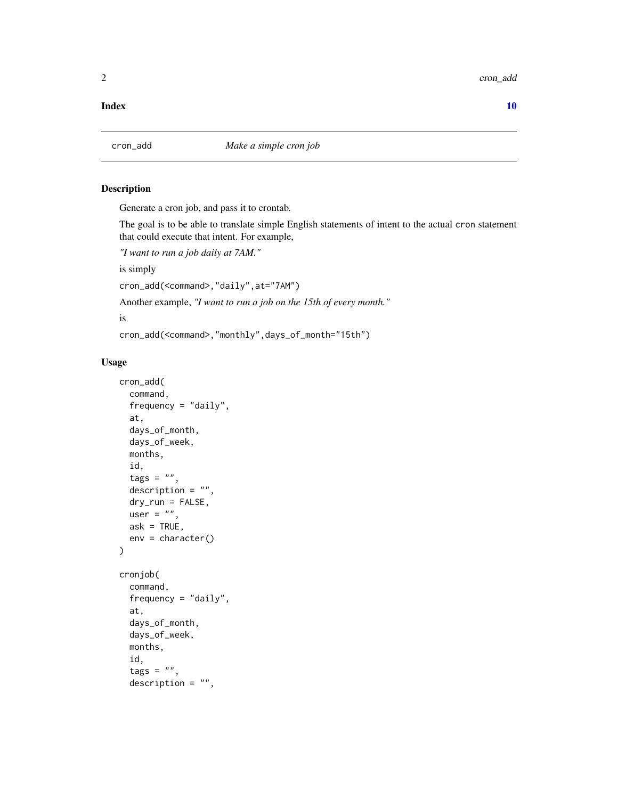<span id="page-1-0"></span>2 cron\_add  $\sim$  cron\_add  $\sim$  cron\_add  $\sim$  cron\_add  $\sim$  cron\_add  $\sim$  cron\_add  $\sim$  cron\_add  $\sim$  cron\_add  $\sim$  cron\_add  $\sim$  cron\_add  $\sim$  cron\_add  $\sim$  cron\_add  $\sim$  cron\_add  $\sim$  cron\_add  $\sim$  cron\_add  $\sim$  cron\_add

#### $\blacksquare$

#### Description

Generate a cron job, and pass it to crontab.

The goal is to be able to translate simple English statements of intent to the actual cron statement that could execute that intent. For example,

```
"I want to run a job daily at 7AM."
```
is simply

cron\_add(<command>,"daily",at="7AM")

Another example, *"I want to run a job on the 15th of every month."*

is

```
cron_add(<command>,"monthly",days_of_month="15th")
```
#### Usage

```
cron_add(
  command,
  frequency = "daily",at,
  days_of_month,
  days_of_week,
  months,
  id,
  tags = "",description = ",
  dry_run = FALSE,
 user = ",
  ask = TRUE,env = character()
\lambdacronjob(
  command,
  frequency = "daily",
  at,
  days_of_month,
  days_of_week,
  months,
  id,
  tags = "",description = ",
```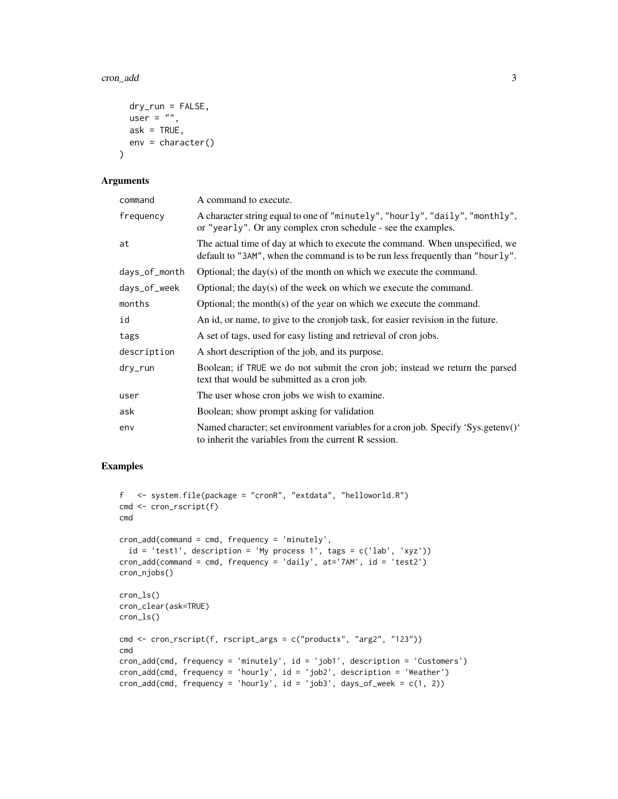```
dry_run = FALSE,
 user = ",
 ask = TRUE,env = character()
\lambda
```
#### Arguments

| command       | A command to execute.                                                                                                                                          |
|---------------|----------------------------------------------------------------------------------------------------------------------------------------------------------------|
| frequency     | A character string equal to one of "minutely", "hourly", "daily", "monthly",<br>or "yearly". Or any complex cron schedule - see the examples.                  |
| at            | The actual time of day at which to execute the command. When unspecified, we<br>default to "3AM", when the command is to be run less frequently than "hourly". |
| days_of_month | Optional; the day(s) of the month on which we execute the command.                                                                                             |
| days_of_week  | Optional; the day(s) of the week on which we execute the command.                                                                                              |
| months        | Optional; the month(s) of the year on which we execute the command.                                                                                            |
| id            | An id, or name, to give to the cronjob task, for easier revision in the future.                                                                                |
| tags          | A set of tags, used for easy listing and retrieval of cron jobs.                                                                                               |
| description   | A short description of the job, and its purpose.                                                                                                               |
| dry_run       | Boolean; if TRUE we do not submit the cron job; instead we return the parsed<br>text that would be submitted as a cron job.                                    |
| user          | The user whose cron jobs we wish to examine.                                                                                                                   |
| ask           | Boolean; show prompt asking for validation                                                                                                                     |
| env           | Named character; set environment variables for a cron job. Specify 'Sys.getenv()'<br>to inherit the variables from the current R session.                      |

#### Examples

```
f <- system.file(package = "cronR", "extdata", "helloworld.R")
cmd <- cron_rscript(f)
cmd
cron_add(command = cmd, frequency = 'minutely',
  id = 'test1', description = 'My process 1', tags = c('lab', 'xyz'))
cron_add(command = cmd, frequency = 'daily', at='7AM', id = 'test2')
cron_njobs()
cron_ls()
cron_clear(ask=TRUE)
cron_ls()
cmd <- cron_rscript(f, rscript_args = c("productx", "arg2", "123"))
cmd
cron_add(cmd, frequency = 'minutely', id = 'job1', description = 'Customers')
cron_add(cmd, frequency = 'hourly', id = 'job2', description = 'Weather')
cron\_add(cmd, frequency = 'hourly', id = 'job3', days_of-week = c(1, 2))
```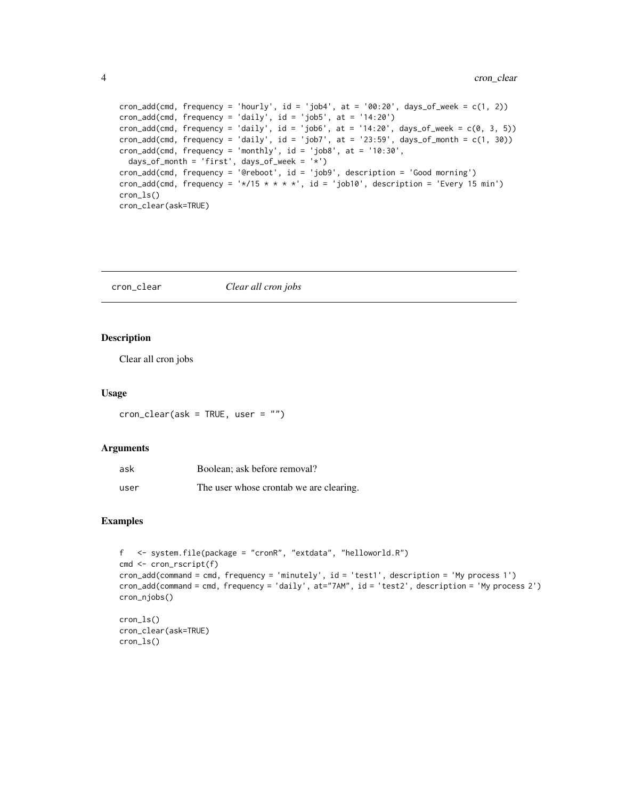```
cron\_add(cmd, frequency = 'hourly', id = 'job4', at = '00:20', days_of-week = c(1, 2))cron_add(cmd, frequency = 'daily', id = 'job5', at = '14:20')
cron_add(cmd, frequency = 'daily', id = 'job6', at = '14:20', days_of_week = c(0, 3, 5))
cron_add(cmd, frequency = 'daily', id = 'job7', at = '23:59', days_of_month = c(1, 30))
cron\_add(cmd, frequency = 'monthly', id = 'job8', at = '10:30',days_of_month = 'first', days_of_week = '*')
cron_add(cmd, frequency = '@reboot', id = 'job9', description = 'Good morning')
cron_add(cmd, frequency = '*/15 * * * *', id = 'job10', description = 'Every 15 min')
cron_ls()
cron_clear(ask=TRUE)
```
cron\_clear *Clear all cron jobs*

#### Description

Clear all cron jobs

#### Usage

 $cron_{\text{clear}}(ask = TRUE, user = "")$ 

#### **Arguments**

| ask  | Boolean; ask before removal?            |
|------|-----------------------------------------|
| user | The user whose crontab we are clearing. |

#### Examples

cron\_ls()

```
f <- system.file(package = "cronR", "extdata", "helloworld.R")
cmd <- cron_rscript(f)
cron_add(command = cmd, frequency = 'minutely', id = 'test1', description = 'My process 1')
cron_add(command = cmd, frequency = 'daily', at="7AM", id = 'test2', description = 'My process 2')
cron_njobs()
cron_ls()
cron_clear(ask=TRUE)
```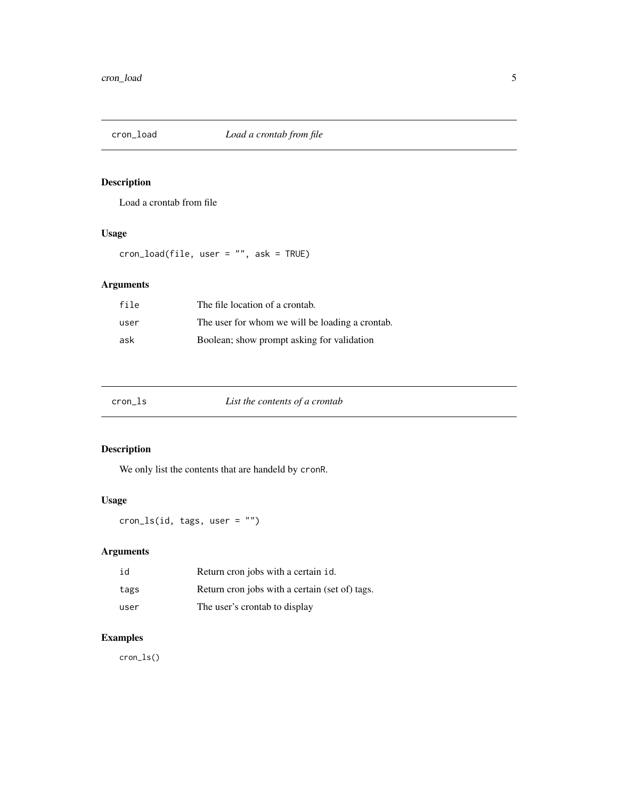<span id="page-4-0"></span>

#### Description

Load a crontab from file

#### Usage

cron\_load(file, user = "", ask = TRUE)

#### Arguments

| file | The file location of a crontab.                 |
|------|-------------------------------------------------|
| user | The user for whom we will be loading a crontab. |
| ask  | Boolean; show prompt asking for validation      |

| cron_ls | List the contents of a crontab |  |
|---------|--------------------------------|--|
|---------|--------------------------------|--|

### Description

We only list the contents that are handeld by cronR.

#### Usage

cron\_ls(id, tags, user = "")

#### Arguments

| id   | Return cron jobs with a certain id.            |
|------|------------------------------------------------|
| tags | Return cron jobs with a certain (set of) tags. |
| user | The user's crontab to display                  |

#### Examples

cron\_ls()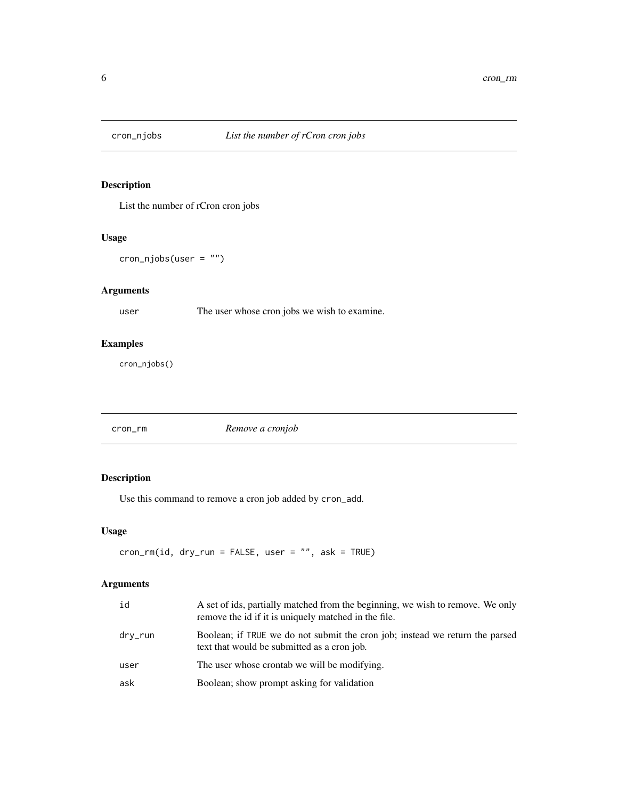<span id="page-5-0"></span>

#### Description

List the number of rCron cron jobs

#### Usage

cron\_njobs(user = "")

#### Arguments

user The user whose cron jobs we wish to examine.

#### Examples

cron\_njobs()

cron\_rm *Remove a cronjob*

#### Description

Use this command to remove a cron job added by cron\_add.

#### Usage

cron\_rm(id, dry\_run = FALSE, user = "", ask = TRUE)

#### Arguments

| id      | A set of ids, partially matched from the beginning, we wish to remove. We only<br>remove the id if it is uniquely matched in the file. |
|---------|----------------------------------------------------------------------------------------------------------------------------------------|
| dry_run | Boolean; if TRUE we do not submit the cron job; instead we return the parsed<br>text that would be submitted as a cron job.            |
| user    | The user whose crontab we will be modifying.                                                                                           |
| ask     | Boolean; show prompt asking for validation                                                                                             |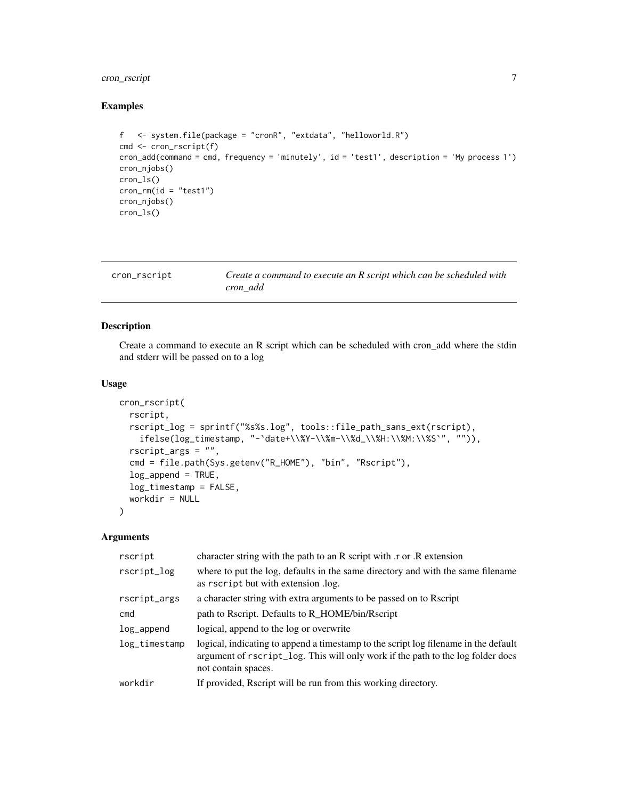#### <span id="page-6-0"></span>cron\_rscript 7

#### Examples

```
f <- system.file(package = "cronR", "extdata", "helloworld.R")
cmd <- cron_rscript(f)
cron_add(command = cmd, frequency = 'minutely', id = 'test1', description = 'My process 1')
cron_njobs()
cron_ls()
cron_rm(id = "test1")
cron_njobs()
cron_ls()
```

| cron_rscript | Create a command to execute an R script which can be scheduled with |
|--------------|---------------------------------------------------------------------|
|              | cron add                                                            |

#### Description

Create a command to execute an R script which can be scheduled with cron\_add where the stdin and stderr will be passed on to a log

#### Usage

```
cron_rscript(
  rscript,
 rscript_log = sprintf("%s%s.log", tools::file_path_sans_ext(rscript),
    ifelse(log_timestamp, "-`date+\\%Y-\\%m-\\%d_\\%H:\\%M:\\%S`", "")),
 rscript_args = "",
  cmd = file.path(Sys.getenv("R_HOME"), "bin", "Rscript"),
  log\_append = TRUE,log_timestamp = FALSE,
 workdir = NULL
)
```
#### Arguments

| rscript       | character string with the path to an R script with r or R extension                                                                                                                           |
|---------------|-----------------------------------------------------------------------------------------------------------------------------------------------------------------------------------------------|
| rscript_log   | where to put the log, defaults in the same directory and with the same filename<br>as rscript but with extension .log.                                                                        |
| rscript_args  | a character string with extra arguments to be passed on to Recript                                                                                                                            |
| cmd           | path to Rscript. Defaults to R_HOME/bin/Rscript                                                                                                                                               |
| log_append    | logical, append to the log or overwrite                                                                                                                                                       |
| log_timestamp | logical, indicating to append a timestamp to the script log filename in the default<br>argument of rscript_log. This will only work if the path to the log folder does<br>not contain spaces. |
| workdir       | If provided, Recript will be run from this working directory.                                                                                                                                 |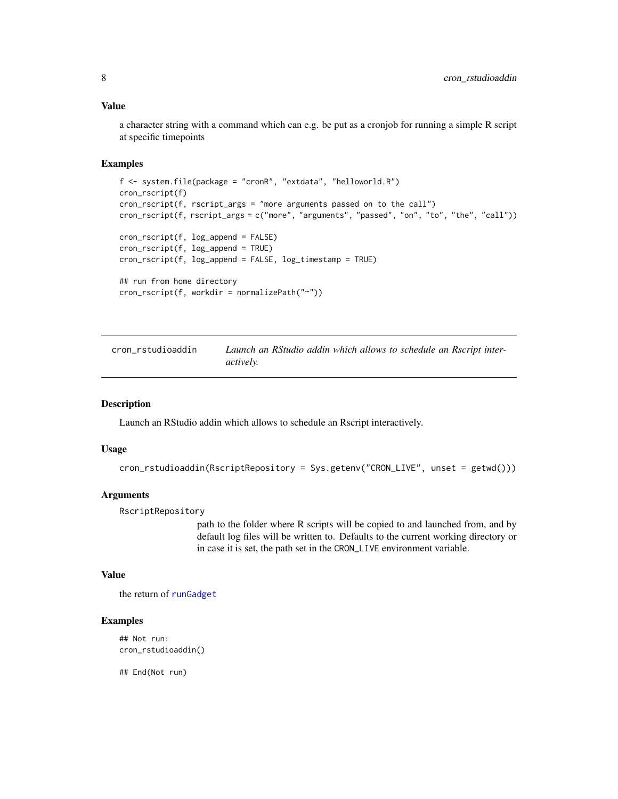#### <span id="page-7-0"></span>Value

a character string with a command which can e.g. be put as a cronjob for running a simple R script at specific timepoints

#### Examples

```
f <- system.file(package = "cronR", "extdata", "helloworld.R")
cron_rscript(f)
cron_rscript(f, rscript_args = "more arguments passed on to the call")
cron_rscript(f, rscript_args = c("more", "arguments", "passed", "on", "to", "the", "call"))
cron_rscript(f, log_append = FALSE)
cron_rscript(f, log_append = TRUE)
cron_rscript(f, log_append = FALSE, log_timestamp = TRUE)
## run from home directory
cron_rscript(f, workdir = normalizePath("~"))
```
cron\_rstudioaddin *Launch an RStudio addin which allows to schedule an Rscript interactively.*

#### Description

Launch an RStudio addin which allows to schedule an Rscript interactively.

#### Usage

```
cron_rstudioaddin(RscriptRepository = Sys.getenv("CRON_LIVE", unset = getwd()))
```
#### **Arguments**

RscriptRepository

path to the folder where R scripts will be copied to and launched from, and by default log files will be written to. Defaults to the current working directory or in case it is set, the path set in the CRON\_LIVE environment variable.

#### Value

the return of [runGadget](#page-0-0)

#### Examples

```
## Not run:
cron_rstudioaddin()
```
## End(Not run)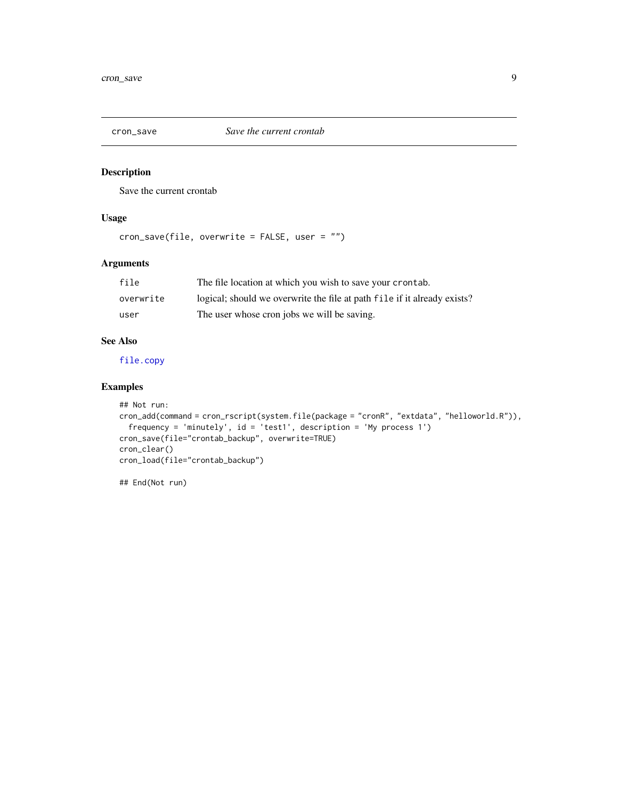<span id="page-8-0"></span>

#### Description

Save the current crontab

#### Usage

cron\_save(file, overwrite = FALSE, user = "")

#### Arguments

| file      | The file location at which you wish to save your crontab.                |
|-----------|--------------------------------------------------------------------------|
| overwrite | logical; should we overwrite the file at path file if it already exists? |
| user      | The user whose cron jobs we will be saving.                              |

#### See Also

[file.copy](#page-0-0)

#### Examples

```
## Not run:
cron_add(command = cron_rscript(system.file(package = "cronR", "extdata", "helloworld.R")),
  frequency = 'minutely', id = 'test1', description = 'My process 1')
cron_save(file="crontab_backup", overwrite=TRUE)
cron_clear()
cron_load(file="crontab_backup")
```
## End(Not run)